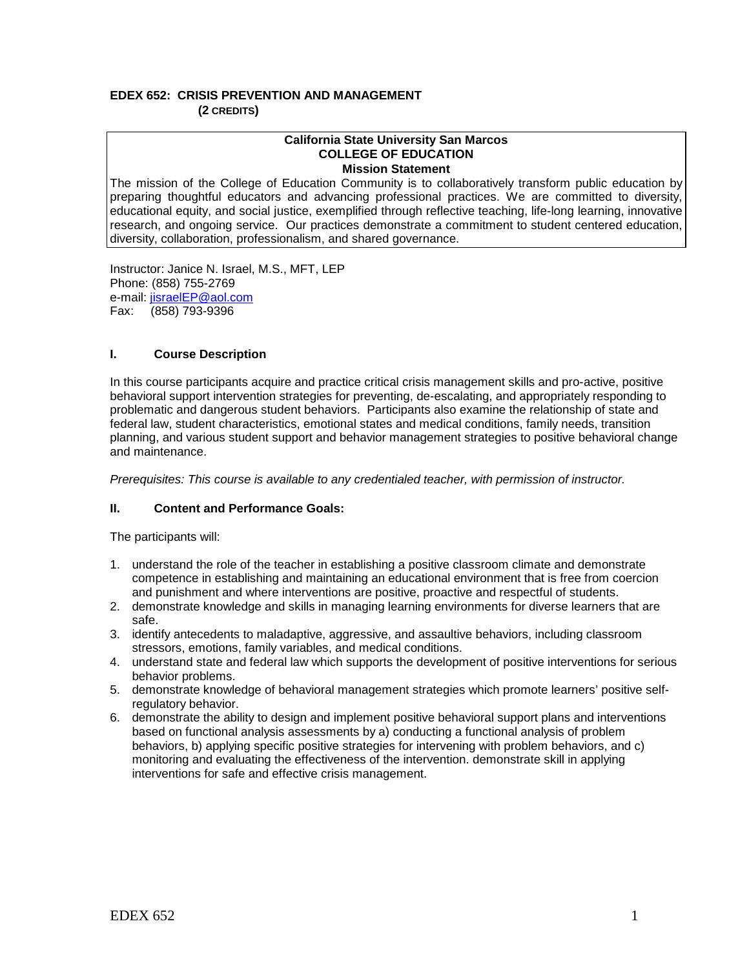## **EDEX 652: CRISIS PREVENTION AND MANAGEMENT (2 CREDITS)**

#### **California State University San Marcos COLLEGE OF EDUCATION Mission Statement**

The mission of the College of Education Community is to collaboratively transform public education by preparing thoughtful educators and advancing professional practices. We are committed to diversity, educational equity, and social justice, exemplified through reflective teaching, life-long learning, innovative research, and ongoing service. Our practices demonstrate a commitment to student centered education, diversity, collaboration, professionalism, and shared governance.

Instructor: Janice N. Israel, M.S., MFT, LEP Phone: (858) 755-2769 e-mail: <u>jisraelEP@aol.com</u><br>Fax: (858) 793-9396 Fax: (858) 793-9396

# **I. Course Description**

In this course participants acquire and practice critical crisis management skills and pro-active, positive behavioral support intervention strategies for preventing, de-escalating, and appropriately responding to problematic and dangerous student behaviors. Participants also examine the relationship of state and federal law, student characteristics, emotional states and medical conditions, family needs, transition planning, and various student support and behavior management strategies to positive behavioral change and maintenance.

*Prerequisites: This course is available to any credentialed teacher, with permission of instructor.*

# **II. Content and Performance Goals:**

The participants will:

- 1. understand the role of the teacher in establishing a positive classroom climate and demonstrate competence in establishing and maintaining an educational environment that is free from coercion and punishment and where interventions are positive, proactive and respectful of students.
- 2. demonstrate knowledge and skills in managing learning environments for diverse learners that are safe.
- 3. identify antecedents to maladaptive, aggressive, and assaultive behaviors, including classroom stressors, emotions, family variables, and medical conditions.
- 4. understand state and federal law which supports the development of positive interventions for serious behavior problems.
- 5. demonstrate knowledge of behavioral management strategies which promote learners' positive selfregulatory behavior.
- 6. demonstrate the ability to design and implement positive behavioral support plans and interventions based on functional analysis assessments by a) conducting a functional analysis of problem behaviors, b) applying specific positive strategies for intervening with problem behaviors, and c) monitoring and evaluating the effectiveness of the intervention. demonstrate skill in applying interventions for safe and effective crisis management.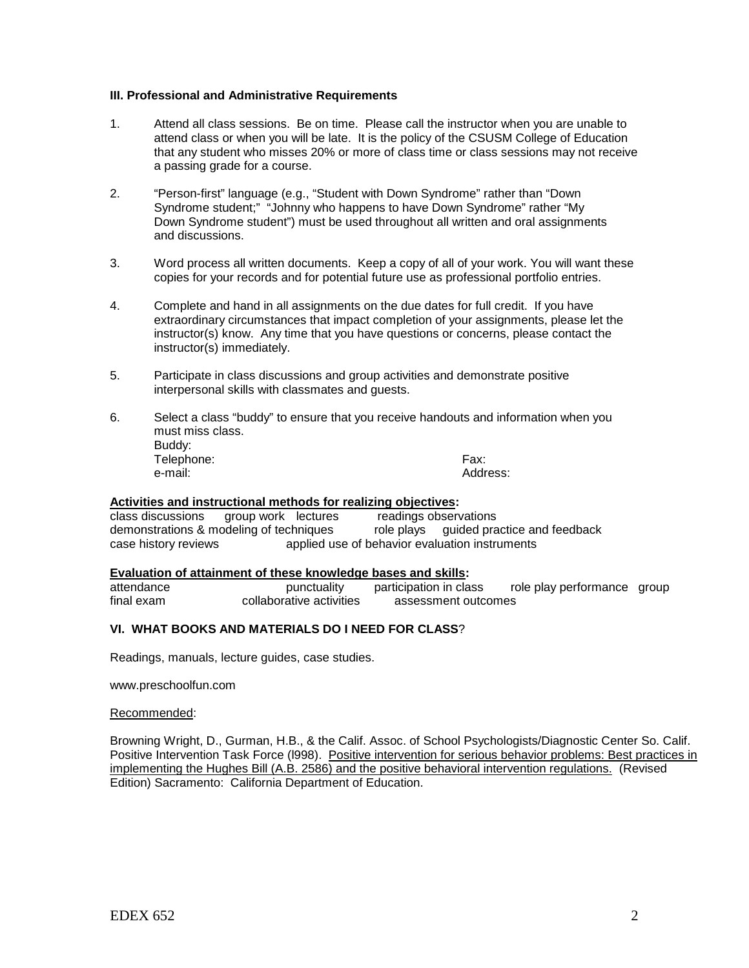#### **III. Professional and Administrative Requirements**

- 1. Attend all class sessions. Be on time. Please call the instructor when you are unable to attend class or when you will be late. It is the policy of the CSUSM College of Education that any student who misses 20% or more of class time or class sessions may not receive a passing grade for a course.
- 2. "Person-first" language (e.g., "Student with Down Syndrome" rather than "Down Syndrome student;" "Johnny who happens to have Down Syndrome" rather "My Down Syndrome student") must be used throughout all written and oral assignments and discussions.
- 3. Word process all written documents. Keep a copy of all of your work. You will want these copies for your records and for potential future use as professional portfolio entries.
- 4. Complete and hand in all assignments on the due dates for full credit. If you have extraordinary circumstances that impact completion of your assignments, please let the instructor(s) know. Any time that you have questions or concerns, please contact the instructor(s) immediately.
- 5. Participate in class discussions and group activities and demonstrate positive interpersonal skills with classmates and guests.
- 6. Select a class "buddy" to ensure that you receive handouts and information when you must miss class. Buddy: Telephone: Fax: e-mail: Address:

### **Activities and instructional methods for realizing objectives:**

class discussions group work lectures readings observations<br>demonstrations & modeling of techniques role plays guided practice and feedback demonstrations & modeling of techniques role plays<br>case history reviews applied use of behavior eva applied use of behavior evaluation instruments

#### **Evaluation of attainment of these knowledge bases and skills:**

attendance **punctuality** participation in class role play performance group<br>
final exam collaborative activities assessment outcomes assessment outcomes

# **VI. WHAT BOOKS AND MATERIALS DO I NEED FOR CLASS**?

Readings, manuals, lecture guides, case studies.

www.preschoolfun.com

#### Recommended:

Browning Wright, D., Gurman, H.B., & the Calif. Assoc. of School Psychologists/Diagnostic Center So. Calif. Positive Intervention Task Force (l998). Positive intervention for serious behavior problems: Best practices in implementing the Hughes Bill (A.B. 2586) and the positive behavioral intervention regulations. (Revised Edition) Sacramento: California Department of Education.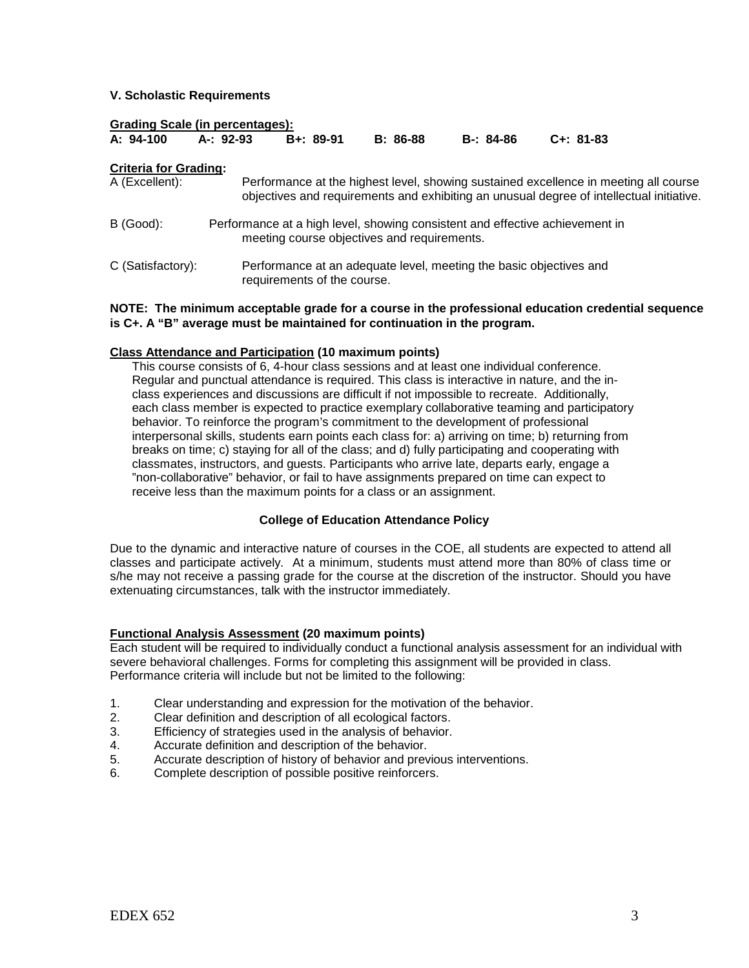## **V. Scholastic Requirements**

#### **Grading Scale (in percentages):**

| A: 94-100 | A-: 92-93 | B+: 89-91 | B: 86-88 | B-: 84-86 | C+: 81-83 |
|-----------|-----------|-----------|----------|-----------|-----------|
|           |           |           |          |           |           |

#### **Criteria for Grading:**

| A (Excellent):    | Performance at the highest level, showing sustained excellence in meeting all course<br>objectives and requirements and exhibiting an unusual degree of intellectual initiative. |
|-------------------|----------------------------------------------------------------------------------------------------------------------------------------------------------------------------------|
| B (Good):         | Performance at a high level, showing consistent and effective achievement in<br>meeting course objectives and requirements.                                                      |
| C (Satisfactory): | Performance at an adequate level, meeting the basic objectives and<br>requirements of the course.                                                                                |

### **NOTE: The minimum acceptable grade for a course in the professional education credential sequence is C+. A "B" average must be maintained for continuation in the program.**

### **Class Attendance and Participation (10 maximum points)**

This course consists of 6, 4-hour class sessions and at least one individual conference. Regular and punctual attendance is required. This class is interactive in nature, and the inclass experiences and discussions are difficult if not impossible to recreate. Additionally, each class member is expected to practice exemplary collaborative teaming and participatory behavior. To reinforce the program's commitment to the development of professional interpersonal skills, students earn points each class for: a) arriving on time; b) returning from breaks on time; c) staying for all of the class; and d) fully participating and cooperating with classmates, instructors, and guests. Participants who arrive late, departs early, engage a "non-collaborative" behavior, or fail to have assignments prepared on time can expect to receive less than the maximum points for a class or an assignment.

### **College of Education Attendance Policy**

Due to the dynamic and interactive nature of courses in the COE, all students are expected to attend all classes and participate actively. At a minimum, students must attend more than 80% of class time or s/he may not receive a passing grade for the course at the discretion of the instructor. Should you have extenuating circumstances, talk with the instructor immediately.

### **Functional Analysis Assessment (20 maximum points)**

Each student will be required to individually conduct a functional analysis assessment for an individual with severe behavioral challenges. Forms for completing this assignment will be provided in class. Performance criteria will include but not be limited to the following:

- 1. Clear understanding and expression for the motivation of the behavior.<br>2. Clear definition and description of all ecological factors
- Clear definition and description of all ecological factors.
- 3. Efficiency of strategies used in the analysis of behavior.
- 4. Accurate definition and description of the behavior.<br>5. Accurate description of history of behavior and prev
- 5. Accurate description of history of behavior and previous interventions.<br>6. Complete description of possible positive reinforcers.
- Complete description of possible positive reinforcers.